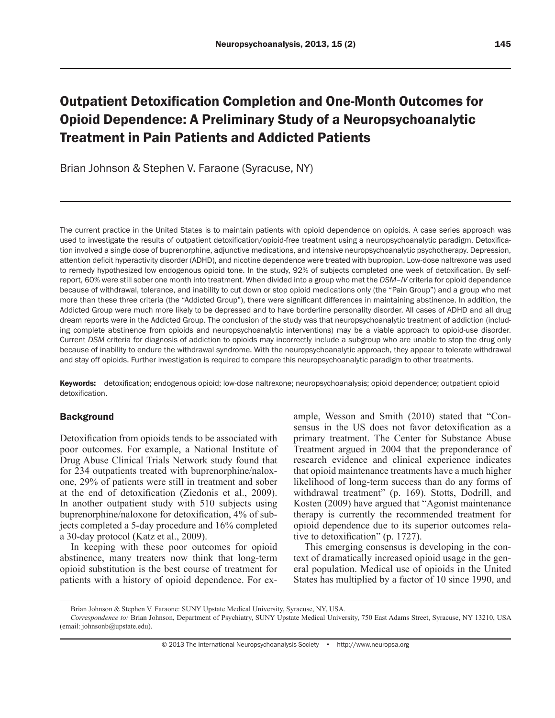# Outpatient Detoxification Completion and One-Month Outcomes for Opioid Dependence: A Preliminary Study of a Neuropsychoanalytic Treatment in Pain Patients and Addicted Patients

Brian Johnson & Stephen V. Faraone (Syracuse, NY)

The current practice in the United States is to maintain patients with opioid dependence on opioids. A case series approach was used to investigate the results of outpatient detoxification/opioid-free treatment using a neuropsychoanalytic paradigm. Detoxification involved a single dose of buprenorphine, adjunctive medications, and intensive neuropsychoanalytic psychotherapy. Depression, attention deficit hyperactivity disorder (ADHD), and nicotine dependence were treated with bupropion. Low-dose naltrexone was used to remedy hypothesized low endogenous opioid tone. In the study, 92% of subjects completed one week of detoxification. By selfreport, 60% were still sober one month into treatment. When divided into a group who met the *DSM–IV* criteria for opioid dependence because of withdrawal, tolerance, and inability to cut down or stop opioid medications only (the "Pain Group") and a group who met more than these three criteria (the "Addicted Group"), there were significant differences in maintaining abstinence. In addition, the Addicted Group were much more likely to be depressed and to have borderline personality disorder. All cases of ADHD and all drug dream reports were in the Addicted Group. The conclusion of the study was that neuropsychoanalytic treatment of addiction (including complete abstinence from opioids and neuropsychoanalytic interventions) may be a viable approach to opioid-use disorder. Current *DSM* criteria for diagnosis of addiction to opioids may incorrectly include a subgroup who are unable to stop the drug only because of inability to endure the withdrawal syndrome. With the neuropsychoanalytic approach, they appear to tolerate withdrawal and stay off opioids. Further investigation is required to compare this neuropsychoanalytic paradigm to other treatments.

Keywords: detoxification; endogenous opioid; low-dose naltrexone; neuropsychoanalysis; opioid dependence; outpatient opioid detoxification.

#### **Background**

Detoxification from opioids tends to be associated with poor outcomes. For example, a National Institute of Drug Abuse Clinical Trials Network study found that for 234 outpatients treated with buprenorphine/naloxone, 29% of patients were still in treatment and sober at the end of detoxification (Ziedonis et al., 2009). In another outpatient study with 510 subjects using buprenorphine/naloxone for detoxification, 4% of subjects completed a 5-day procedure and 16% completed a 30-day protocol (Katz et al., 2009).

In keeping with these poor outcomes for opioid abstinence, many treaters now think that long-term opioid substitution is the best course of treatment for patients with a history of opioid dependence. For example, Wesson and Smith (2010) stated that "Consensus in the US does not favor detoxification as a primary treatment. The Center for Substance Abuse Treatment argued in 2004 that the preponderance of research evidence and clinical experience indicates that opioid maintenance treatments have a much higher likelihood of long-term success than do any forms of withdrawal treatment" (p. 169). Stotts, Dodrill, and Kosten (2009) have argued that "Agonist maintenance therapy is currently the recommended treatment for opioid dependence due to its superior outcomes relative to detoxification" (p. 1727).

This emerging consensus is developing in the context of dramatically increased opioid usage in the general population. Medical use of opioids in the United States has multiplied by a factor of 10 since 1990, and

© 2013 The International Neuropsychoanalysis Society • http://www.neuropsa.org

Brian Johnson & Stephen V. Faraone: SUNY Upstate Medical University, Syracuse, NY, USA.

*Correspondence to:* Brian Johnson, Department of Psychiatry, SUNY Upstate Medical University, 750 East Adams Street, Syracuse, NY 13210, USA (email: johnsonb@upstate.edu).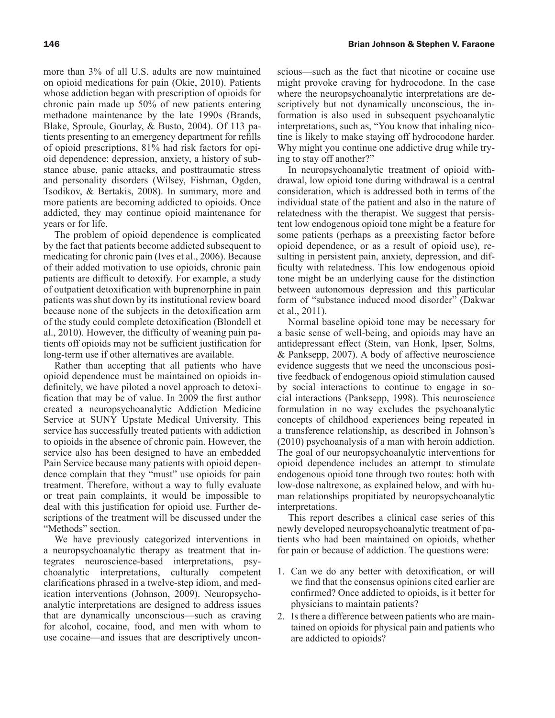more than 3% of all U.S. adults are now maintained on opioid medications for pain (Okie, 2010). Patients whose addiction began with prescription of opioids for chronic pain made up 50% of new patients entering methadone maintenance by the late 1990s (Brands, Blake, Sproule, Gourlay, & Busto, 2004). Of 113 patients presenting to an emergency department for refills of opioid prescriptions, 81% had risk factors for opioid dependence: depression, anxiety, a history of substance abuse, panic attacks, and posttraumatic stress and personality disorders (Wilsey, Fishman, Ogden, Tsodikov, & Bertakis, 2008). In summary, more and more patients are becoming addicted to opioids. Once addicted, they may continue opioid maintenance for years or for life.

The problem of opioid dependence is complicated by the fact that patients become addicted subsequent to medicating for chronic pain (Ives et al., 2006). Because of their added motivation to use opioids, chronic pain patients are difficult to detoxify. For example, a study of outpatient detoxification with buprenorphine in pain patients was shut down by its institutional review board because none of the subjects in the detoxification arm of the study could complete detoxification (Blondell et al., 2010). However, the difficulty of weaning pain patients off opioids may not be sufficient justification for long-term use if other alternatives are available.

Rather than accepting that all patients who have opioid dependence must be maintained on opioids indefinitely, we have piloted a novel approach to detoxification that may be of value. In 2009 the first author created a neuropsychoanalytic Addiction Medicine Service at SUNY Upstate Medical University. This service has successfully treated patients with addiction to opioids in the absence of chronic pain. However, the service also has been designed to have an embedded Pain Service because many patients with opioid dependence complain that they "must" use opioids for pain treatment. Therefore, without a way to fully evaluate or treat pain complaints, it would be impossible to deal with this justification for opioid use. Further descriptions of the treatment will be discussed under the "Methods" section.

We have previously categorized interventions in a neuropsychoanalytic therapy as treatment that integrates neuroscience-based interpretations, psychoanalytic interpretations, culturally competent clarifications phrased in a twelve-step idiom, and medication interventions (Johnson, 2009). Neuropsychoanalytic interpretations are designed to address issues that are dynamically unconscious—such as craving for alcohol, cocaine, food, and men with whom to use cocaine—and issues that are descriptively unconscious—such as the fact that nicotine or cocaine use might provoke craving for hydrocodone. In the case where the neuropsychoanalytic interpretations are descriptively but not dynamically unconscious, the information is also used in subsequent psychoanalytic interpretations, such as, "You know that inhaling nicotine is likely to make staying off hydrocodone harder. Why might you continue one addictive drug while trying to stay off another?"

In neuropsychoanalytic treatment of opioid withdrawal, low opioid tone during withdrawal is a central consideration, which is addressed both in terms of the individual state of the patient and also in the nature of relatedness with the therapist. We suggest that persistent low endogenous opioid tone might be a feature for some patients (perhaps as a preexisting factor before opioid dependence, or as a result of opioid use), resulting in persistent pain, anxiety, depression, and difficulty with relatedness. This low endogenous opioid tone might be an underlying cause for the distinction between autonomous depression and this particular form of "substance induced mood disorder" (Dakwar et al., 2011).

Normal baseline opioid tone may be necessary for a basic sense of well-being, and opioids may have an antidepressant effect (Stein, van Honk, Ipser, Solms, & Panksepp, 2007). A body of affective neuroscience evidence suggests that we need the unconscious positive feedback of endogenous opioid stimulation caused by social interactions to continue to engage in social interactions (Panksepp, 1998). This neuroscience formulation in no way excludes the psychoanalytic concepts of childhood experiences being repeated in a transference relationship, as described in Johnson's (2010) psychoanalysis of a man with heroin addiction. The goal of our neuropsychoanalytic interventions for opioid dependence includes an attempt to stimulate endogenous opioid tone through two routes: both with low-dose naltrexone, as explained below, and with human relationships propitiated by neuropsychoanalytic interpretations.

This report describes a clinical case series of this newly developed neuropsychoanalytic treatment of patients who had been maintained on opioids, whether for pain or because of addiction. The questions were:

- 1. Can we do any better with detoxification, or will we find that the consensus opinions cited earlier are confirmed? Once addicted to opioids, is it better for physicians to maintain patients?
- 2. Is there a difference between patients who are maintained on opioids for physical pain and patients who are addicted to opioids?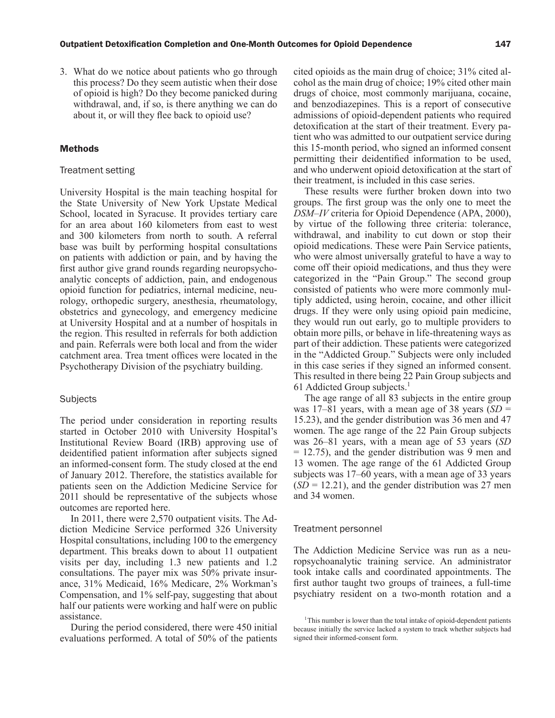3. What do we notice about patients who go through this process? Do they seem autistic when their dose of opioid is high? Do they become panicked during withdrawal, and, if so, is there anything we can do about it, or will they flee back to opioid use?

## Methods

#### Treatment setting

University Hospital is the main teaching hospital for the State University of New York Upstate Medical School, located in Syracuse. It provides tertiary care for an area about 160 kilometers from east to west and 300 kilometers from north to south. A referral base was built by performing hospital consultations on patients with addiction or pain, and by having the first author give grand rounds regarding neuropsychoanalytic concepts of addiction, pain, and endogenous opioid function for pediatrics, internal medicine, neurology, orthopedic surgery, anesthesia, rheumatology, obstetrics and gynecology, and emergency medicine at University Hospital and at a number of hospitals in the region. This resulted in referrals for both addiction and pain. Referrals were both local and from the wider catchment area. Trea tment offices were located in the Psychotherapy Division of the psychiatry building.

#### Subjects

The period under consideration in reporting results started in October 2010 with University Hospital's Institutional Review Board (IRB) approving use of deidentified patient information after subjects signed an informed-consent form. The study closed at the end of January 2012. Therefore, the statistics available for patients seen on the Addiction Medicine Service for 2011 should be representative of the subjects whose outcomes are reported here.

In 2011, there were 2,570 outpatient visits. The Addiction Medicine Service performed 326 University Hospital consultations, including 100 to the emergency department. This breaks down to about 11 outpatient visits per day, including 1.3 new patients and 1.2 consultations. The payer mix was 50% private insurance, 31% Medicaid, 16% Medicare, 2% Workman's Compensation, and 1% self-pay, suggesting that about half our patients were working and half were on public assistance.

During the period considered, there were 450 initial evaluations performed. A total of 50% of the patients

cited opioids as the main drug of choice; 31% cited alcohol as the main drug of choice; 19% cited other main drugs of choice, most commonly marijuana, cocaine, and benzodiazepines. This is a report of consecutive admissions of opioid-dependent patients who required detoxification at the start of their treatment. Every patient who was admitted to our outpatient service during this 15-month period, who signed an informed consent permitting their deidentified information to be used, and who underwent opioid detoxification at the start of their treatment, is included in this case series.

These results were further broken down into two groups. The first group was the only one to meet the *DSM–IV* criteria for Opioid Dependence (APA, 2000), by virtue of the following three criteria: tolerance, withdrawal, and inability to cut down or stop their opioid medications. These were Pain Service patients, who were almost universally grateful to have a way to come off their opioid medications, and thus they were categorized in the "Pain Group." The second group consisted of patients who were more commonly multiply addicted, using heroin, cocaine, and other illicit drugs. If they were only using opioid pain medicine, they would run out early, go to multiple providers to obtain more pills, or behave in life-threatening ways as part of their addiction. These patients were categorized in the "Addicted Group." Subjects were only included in this case series if they signed an informed consent. This resulted in there being 22 Pain Group subjects and 61 Addicted Group subjects.<sup>1</sup>

The age range of all 83 subjects in the entire group was 17–81 years, with a mean age of 38 years (*SD* = 15.23), and the gender distribution was 36 men and 47 women. The age range of the 22 Pain Group subjects was 26–81 years, with a mean age of 53 years (*SD* = 12.75), and the gender distribution was 9 men and 13 women. The age range of the 61 Addicted Group subjects was 17–60 years, with a mean age of 33 years  $(SD = 12.21)$ , and the gender distribution was 27 men and 34 women.

#### Treatment personnel

The Addiction Medicine Service was run as a neuropsychoanalytic training service. An administrator took intake calls and coordinated appointments. The first author taught two groups of trainees, a full-time psychiatry resident on a two-month rotation and a

<sup>&</sup>lt;sup>1</sup>This number is lower than the total intake of opioid-dependent patients because initially the service lacked a system to track whether subjects had signed their informed-consent form.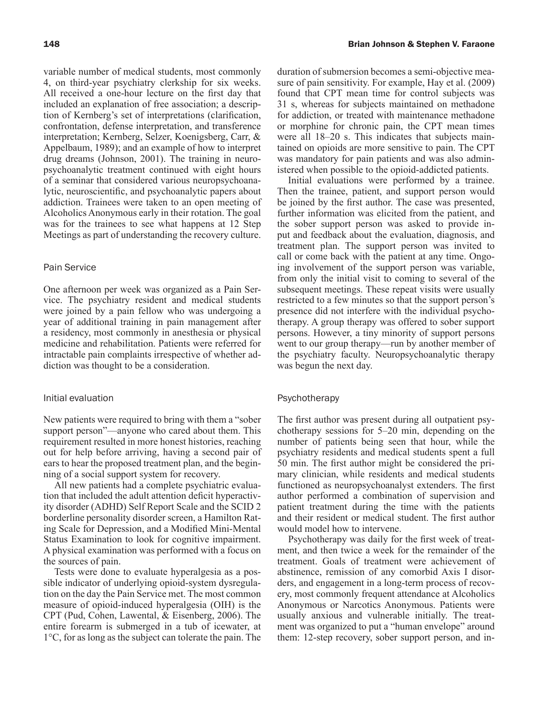variable number of medical students, most commonly 4, on third-year psychiatry clerkship for six weeks. All received a one-hour lecture on the first day that included an explanation of free association; a description of Kernberg's set of interpretations (clarification, confrontation, defense interpretation, and transference interpretation; Kernberg, Selzer, Koenigsberg, Carr, & Appelbaum, 1989); and an example of how to interpret drug dreams (Johnson, 2001). The training in neuropsychoanalytic treatment continued with eight hours of a seminar that considered various neuropsychoanalytic, neuroscientific, and psychoanalytic papers about addiction. Trainees were taken to an open meeting of Alcoholics Anonymous early in their rotation. The goal was for the trainees to see what happens at 12 Step Meetings as part of understanding the recovery culture.

#### Pain Service

One afternoon per week was organized as a Pain Service. The psychiatry resident and medical students were joined by a pain fellow who was undergoing a year of additional training in pain management after a residency, most commonly in anesthesia or physical medicine and rehabilitation. Patients were referred for intractable pain complaints irrespective of whether addiction was thought to be a consideration.

## Initial evaluation

New patients were required to bring with them a "sober support person"—anyone who cared about them. This requirement resulted in more honest histories, reaching out for help before arriving, having a second pair of ears to hear the proposed treatment plan, and the beginning of a social support system for recovery.

All new patients had a complete psychiatric evaluation that included the adult attention deficit hyperactivity disorder (ADHD) Self Report Scale and the SCID 2 borderline personality disorder screen, a Hamilton Rating Scale for Depression, and a Modified Mini-Mental Status Examination to look for cognitive impairment. A physical examination was performed with a focus on the sources of pain.

Tests were done to evaluate hyperalgesia as a possible indicator of underlying opioid-system dysregulation on the day the Pain Service met. The most common measure of opioid-induced hyperalgesia (OIH) is the CPT (Pud, Cohen, Lawental, & Eisenberg, 2006). The entire forearm is submerged in a tub of icewater, at 1°C, for as long as the subject can tolerate the pain. The

duration of submersion becomes a semi-objective measure of pain sensitivity. For example, Hay et al. (2009) found that CPT mean time for control subjects was 31 s, whereas for subjects maintained on methadone for addiction, or treated with maintenance methadone or morphine for chronic pain, the CPT mean times were all 18–20 s. This indicates that subjects maintained on opioids are more sensitive to pain. The CPT was mandatory for pain patients and was also administered when possible to the opioid-addicted patients.

Initial evaluations were performed by a trainee. Then the trainee, patient, and support person would be joined by the first author. The case was presented, further information was elicited from the patient, and the sober support person was asked to provide input and feedback about the evaluation, diagnosis, and treatment plan. The support person was invited to call or come back with the patient at any time. Ongoing involvement of the support person was variable, from only the initial visit to coming to several of the subsequent meetings. These repeat visits were usually restricted to a few minutes so that the support person's presence did not interfere with the individual psychotherapy. A group therapy was offered to sober support persons. However, a tiny minority of support persons went to our group therapy—run by another member of the psychiatry faculty. Neuropsychoanalytic therapy was begun the next day.

## Psychotherapy

The first author was present during all outpatient psychotherapy sessions for 5–20 min, depending on the number of patients being seen that hour, while the psychiatry residents and medical students spent a full 50 min. The first author might be considered the primary clinician, while residents and medical students functioned as neuropsychoanalyst extenders. The first author performed a combination of supervision and patient treatment during the time with the patients and their resident or medical student. The first author would model how to intervene.

Psychotherapy was daily for the first week of treatment, and then twice a week for the remainder of the treatment. Goals of treatment were achievement of abstinence, remission of any comorbid Axis I disorders, and engagement in a long-term process of recovery, most commonly frequent attendance at Alcoholics Anonymous or Narcotics Anonymous. Patients were usually anxious and vulnerable initially. The treatment was organized to put a "human envelope" around them: 12-step recovery, sober support person, and in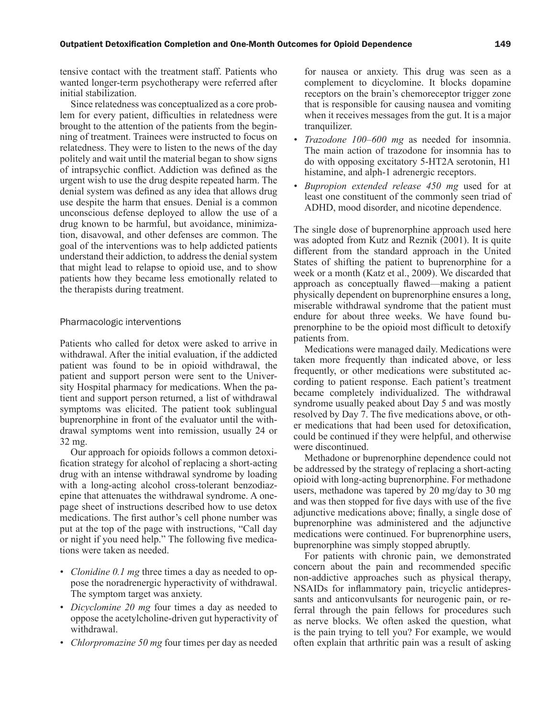tensive contact with the treatment staff. Patients who wanted longer-term psychotherapy were referred after initial stabilization.

Since relatedness was conceptualized as a core problem for every patient, difficulties in relatedness were brought to the attention of the patients from the beginning of treatment. Trainees were instructed to focus on relatedness. They were to listen to the news of the day politely and wait until the material began to show signs of intrapsychic conflict. Addiction was defined as the urgent wish to use the drug despite repeated harm. The denial system was defined as any idea that allows drug use despite the harm that ensues. Denial is a common unconscious defense deployed to allow the use of a drug known to be harmful, but avoidance, minimization, disavowal, and other defenses are common. The goal of the interventions was to help addicted patients understand their addiction, to address the denial system that might lead to relapse to opioid use, and to show patients how they became less emotionally related to the therapists during treatment.

#### Pharmacologic interventions

Patients who called for detox were asked to arrive in withdrawal. After the initial evaluation, if the addicted patient was found to be in opioid withdrawal, the patient and support person were sent to the University Hospital pharmacy for medications. When the patient and support person returned, a list of withdrawal symptoms was elicited. The patient took sublingual buprenorphine in front of the evaluator until the withdrawal symptoms went into remission, usually 24 or 32 mg.

Our approach for opioids follows a common detoxification strategy for alcohol of replacing a short-acting drug with an intense withdrawal syndrome by loading with a long-acting alcohol cross-tolerant benzodiazepine that attenuates the withdrawal syndrome. A onepage sheet of instructions described how to use detox medications. The first author's cell phone number was put at the top of the page with instructions, "Call day or night if you need help." The following five medications were taken as needed.

- *• Clonidine 0.1 mg* three times a day as needed to oppose the noradrenergic hyperactivity of withdrawal. The symptom target was anxiety.
- *• Dicyclomine 20 mg* four times a day as needed to oppose the acetylcholine-driven gut hyperactivity of withdrawal.
- *• Chlorpromazine 50 mg* four times per day as needed

for nausea or anxiety. This drug was seen as a complement to dicyclomine. It blocks dopamine receptors on the brain's chemoreceptor trigger zone that is responsible for causing nausea and vomiting when it receives messages from the gut. It is a major tranquilizer.

- *• Trazodone 100–600 mg* as needed for insomnia. The main action of trazodone for insomnia has to do with opposing excitatory 5-HT2A serotonin, H1 histamine, and alph-1 adrenergic receptors.
- *• Bupropion extended release 450 mg* used for at least one constituent of the commonly seen triad of ADHD, mood disorder, and nicotine dependence.

The single dose of buprenorphine approach used here was adopted from Kutz and Reznik (2001). It is quite different from the standard approach in the United States of shifting the patient to buprenorphine for a week or a month (Katz et al., 2009). We discarded that approach as conceptually flawed—making a patient physically dependent on buprenorphine ensures a long, miserable withdrawal syndrome that the patient must endure for about three weeks. We have found buprenorphine to be the opioid most difficult to detoxify patients from.

Medications were managed daily. Medications were taken more frequently than indicated above, or less frequently, or other medications were substituted according to patient response. Each patient's treatment became completely individualized. The withdrawal syndrome usually peaked about Day 5 and was mostly resolved by Day 7. The five medications above, or other medications that had been used for detoxification, could be continued if they were helpful, and otherwise were discontinued.

Methadone or buprenorphine dependence could not be addressed by the strategy of replacing a short-acting opioid with long-acting buprenorphine. For methadone users, methadone was tapered by 20 mg/day to 30 mg and was then stopped for five days with use of the five adjunctive medications above; finally, a single dose of buprenorphine was administered and the adjunctive medications were continued. For buprenorphine users, buprenorphine was simply stopped abruptly.

For patients with chronic pain, we demonstrated concern about the pain and recommended specific non-addictive approaches such as physical therapy, NSAIDs for inflammatory pain, tricyclic antidepressants and anticonvulsants for neurogenic pain, or referral through the pain fellows for procedures such as nerve blocks. We often asked the question, what is the pain trying to tell you? For example, we would often explain that arthritic pain was a result of asking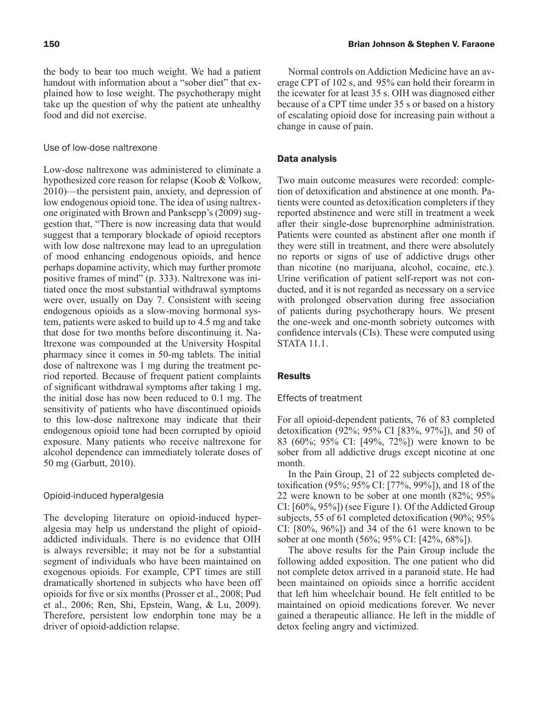the body to bear too much weight. We had a patient handout with information about a "sober diet" that explained how to lose weight. The psychotherapy might take up the question of why the patient ate unhealthy food and did not exercise.

#### Use of low-dose naltrexone

Low-dose naltrexone was administered to eliminate a hypothesized core reason for relapse (Koob & Volkow, 2010)—the persistent pain, anxiety, and depression of low endogenous opioid tone. The idea of using naltrexone originated with Brown and Panksepp's (2009) suggestion that, "There is now increasing data that would suggest that a temporary blockade of opioid receptors with low dose naltrexone may lead to an upregulation of mood enhancing endogenous opioids, and hence perhaps dopamine activity, which may further promote positive frames of mind" (p. 333). Naltrexone was initiated once the most substantial withdrawal symptoms were over, usually on Day 7. Consistent with seeing endogenous opioids as a slow-moving hormonal system, patients were asked to build up to 4.5 mg and take that dose for two months before discontinuing it. Naltrexone was compounded at the University Hospital pharmacy since it comes in 50-mg tablets. The initial dose of naltrexone was 1 mg during the treatment period reported. Because of frequent patient complaints of significant withdrawal symptoms after taking 1 mg, the initial dose has now been reduced to 0.1 mg. The sensitivity of patients who have discontinued opioids to this low-dose naltrexone may indicate that their endogenous opioid tone had been corrupted by opioid exposure. Many patients who receive naltrexone for alcohol dependence can immediately tolerate doses of 50 mg (Garbutt, 2010).

## Opioid-induced hyperalgesia

The developing literature on opioid-induced hyperalgesia may help us understand the plight of opioidaddicted individuals. There is no evidence that OIH is always reversible; it may not be for a substantial segment of individuals who have been maintained on exogenous opioids. For example, CPT times are still dramatically shortened in subjects who have been off opioids for five or six months (Prosser et al., 2008; Pud et al., 2006; Ren, Shi, Epstein, Wang, & Lu, 2009). Therefore, persistent low endorphin tone may be a driver of opioid-addiction relapse.

Normal controls on Addiction Medicine have an average CPT of 102 s, and 95% can hold their forearm in the icewater for at least 35 s. OIH was diagnosed either because of a CPT time under 35 s or based on a history of escalating opioid dose for increasing pain without a change in cause of pain.

## Data analysis

Two main outcome measures were recorded: completion of detoxification and abstinence at one month. Patients were counted as detoxification completers if they reported abstinence and were still in treatment a week after their single-dose buprenorphine administration. Patients were counted as abstinent after one month if they were still in treatment, and there were absolutely no reports or signs of use of addictive drugs other than nicotine (no marijuana, alcohol, cocaine, etc.). Urine verification of patient self-report was not conducted, and it is not regarded as necessary on a service with prolonged observation during free association of patients during psychotherapy hours. We present the one-week and one-month sobriety outcomes with confidence intervals (CIs). These were computed using STATA 11.1.

#### **Results**

#### Effects of treatment

For all opioid-dependent patients, 76 of 83 completed detoxification (92%; 95% CI [83%, 97%]), and 50 of 83 (60%; 95% CI: [49%, 72%]) were known to be sober from all addictive drugs except nicotine at one month.

In the Pain Group, 21 of 22 subjects completed detoxification (95%; 95% CI: [77%, 99%]), and 18 of the 22 were known to be sober at one month (82%; 95% CI: [60%, 95%]) (see Figure 1). Of the Addicted Group subjects, 55 of 61 completed detoxification (90%; 95% CI: [80%, 96%]) and 34 of the 61 were known to be sober at one month (56%; 95% CI: [42%, 68%]).

The above results for the Pain Group include the following added exposition. The one patient who did not complete detox arrived in a paranoid state. He had been maintained on opioids since a horrific accident that left him wheelchair bound. He felt entitled to be maintained on opioid medications forever. We never gained a therapeutic alliance. He left in the middle of detox feeling angry and victimized.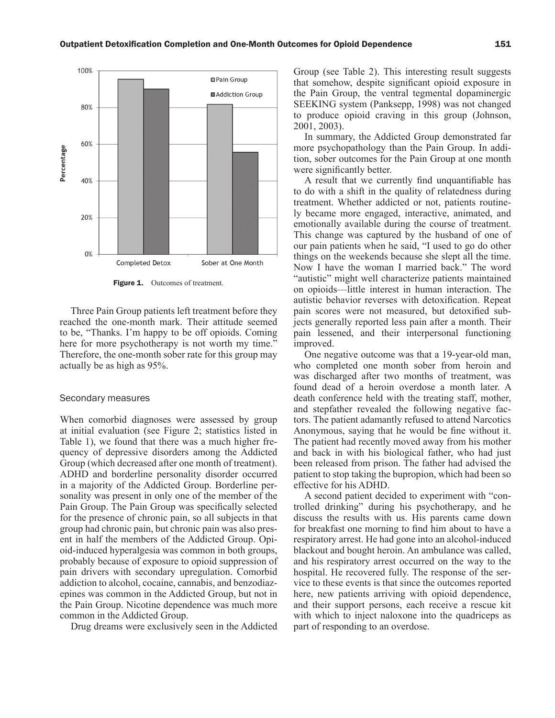

Figure 1. Outcomes of treatment.

Three Pain Group patients left treatment before they reached the one-month mark. Their attitude seemed to be, "Thanks. I'm happy to be off opioids. Coming here for more psychotherapy is not worth my time." Therefore, the one-month sober rate for this group may actually be as high as 95%.

#### Secondary measures

When comorbid diagnoses were assessed by group at initial evaluation (see Figure 2; statistics listed in Table 1), we found that there was a much higher frequency of depressive disorders among the Addicted Group (which decreased after one month of treatment). ADHD and borderline personality disorder occurred in a majority of the Addicted Group. Borderline personality was present in only one of the member of the Pain Group. The Pain Group was specifically selected for the presence of chronic pain, so all subjects in that group had chronic pain, but chronic pain was also present in half the members of the Addicted Group. Opioid-induced hyperalgesia was common in both groups, probably because of exposure to opioid suppression of pain drivers with secondary upregulation. Comorbid addiction to alcohol, cocaine, cannabis, and benzodiazepines was common in the Addicted Group, but not in the Pain Group. Nicotine dependence was much more common in the Addicted Group.

Drug dreams were exclusively seen in the Addicted

Group (see Table 2). This interesting result suggests that somehow, despite significant opioid exposure in the Pain Group, the ventral tegmental dopaminergic SEEKING system (Panksepp, 1998) was not changed to produce opioid craving in this group (Johnson, 2001, 2003).

In summary, the Addicted Group demonstrated far more psychopathology than the Pain Group. In addition, sober outcomes for the Pain Group at one month were significantly better.

A result that we currently find unquantifiable has to do with a shift in the quality of relatedness during treatment. Whether addicted or not, patients routinely became more engaged, interactive, animated, and emotionally available during the course of treatment. This change was captured by the husband of one of our pain patients when he said, "I used to go do other things on the weekends because she slept all the time. Now I have the woman I married back." The word "autistic" might well characterize patients maintained on opioids—little interest in human interaction. The autistic behavior reverses with detoxification. Repeat pain scores were not measured, but detoxified subjects generally reported less pain after a month. Their pain lessened, and their interpersonal functioning improved.

One negative outcome was that a 19-year-old man, who completed one month sober from heroin and was discharged after two months of treatment, was found dead of a heroin overdose a month later. A death conference held with the treating staff, mother, and stepfather revealed the following negative factors. The patient adamantly refused to attend Narcotics Anonymous, saying that he would be fine without it. The patient had recently moved away from his mother and back in with his biological father, who had just been released from prison. The father had advised the patient to stop taking the bupropion, which had been so effective for his ADHD.

A second patient decided to experiment with "controlled drinking" during his psychotherapy, and he discuss the results with us. His parents came down for breakfast one morning to find him about to have a respiratory arrest. He had gone into an alcohol-induced blackout and bought heroin. An ambulance was called, and his respiratory arrest occurred on the way to the hospital. He recovered fully. The response of the service to these events is that since the outcomes reported here, new patients arriving with opioid dependence, and their support persons, each receive a rescue kit with which to inject naloxone into the quadriceps as part of responding to an overdose.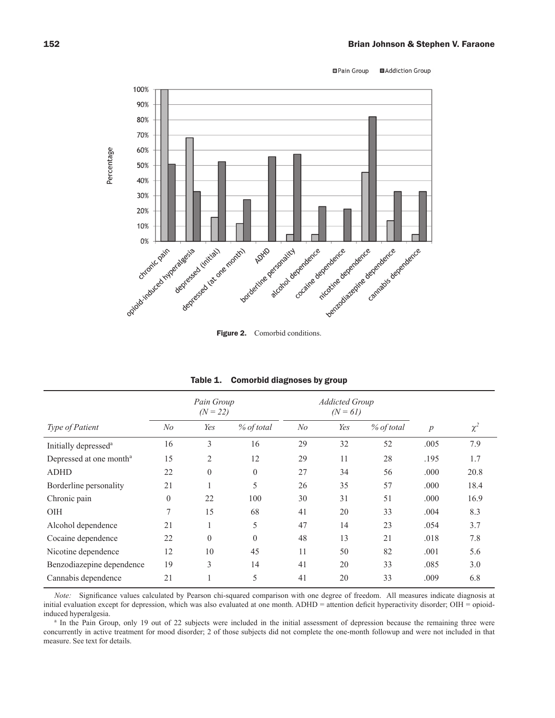**□Pain Group** Addiction Group



|                                     | Pain Group<br>$(N = 22)$ |                |            |    | <b>Addicted Group</b><br>$(N = 61)$ |            |                  |          |
|-------------------------------------|--------------------------|----------------|------------|----|-------------------------------------|------------|------------------|----------|
| Type of Patient                     | No                       | Yes            | % of total | No | Yes                                 | % of total | $\boldsymbol{p}$ | $\chi^2$ |
| Initially depressed <sup>a</sup>    | 16                       | 3              | 16         | 29 | 32                                  | 52         | .005             | 7.9      |
| Depressed at one month <sup>a</sup> | 15                       | $\overline{2}$ | 12         | 29 | 11                                  | 28         | .195             | 1.7      |
| <b>ADHD</b>                         | 22                       | $\theta$       | $\theta$   | 27 | 34                                  | 56         | .000             | 20.8     |
| Borderline personality              | 21                       |                | 5          | 26 | 35                                  | 57         | .000             | 18.4     |
| Chronic pain                        | $\boldsymbol{0}$         | 22             | 100        | 30 | 31                                  | 51         | .000             | 16.9     |
| <b>OIH</b>                          | 7                        | 15             | 68         | 41 | 20                                  | 33         | .004             | 8.3      |
| Alcohol dependence                  | 21                       |                | 5          | 47 | 14                                  | 23         | .054             | 3.7      |
| Cocaine dependence                  | 22                       | $\overline{0}$ | $\theta$   | 48 | 13                                  | 21         | .018             | 7.8      |
| Nicotine dependence                 | 12                       | 10             | 45         | 11 | 50                                  | 82         | .001             | 5.6      |
| Benzodiazepine dependence           | 19                       | 3              | 14         | 41 | 20                                  | 33         | .085             | 3.0      |
| Cannabis dependence                 | 21                       |                | 5          | 41 | 20                                  | 33         | .009             | 6.8      |

| Table 1. |  | <b>Comorbid diagnoses by group</b> |  |  |
|----------|--|------------------------------------|--|--|
|----------|--|------------------------------------|--|--|

*Note:* Significance values calculated by Pearson chi-squared comparison with one degree of freedom. All measures indicate diagnosis at initial evaluation except for depression, which was also evaluated at one month. ADHD = attention deficit hyperactivity disorder; OIH = opioidinduced hyperalgesia.

<sup>a</sup> In the Pain Group, only 19 out of 22 subjects were included in the initial assessment of depression because the remaining three were concurrently in active treatment for mood disorder; 2 of those subjects did not complete the one-month followup and were not included in that measure. See text for details.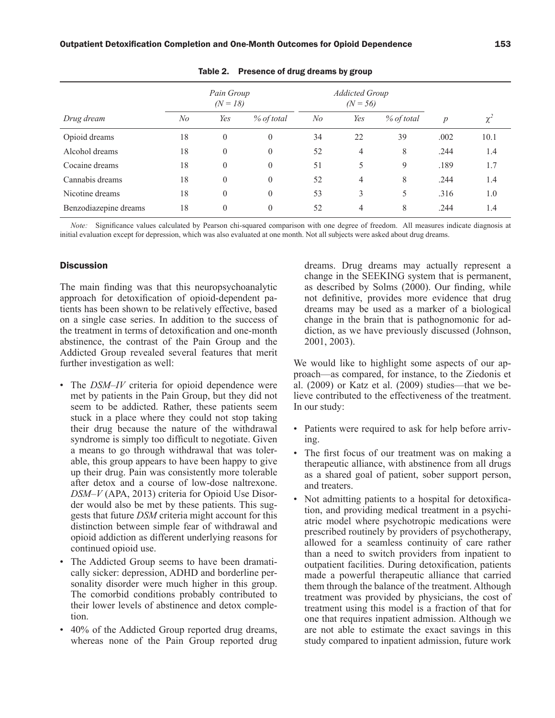|                       | Pain Group<br>$(N = 18)$ |          | <b>Addicted Group</b><br>$(N = 56)$ |                |     |            |                  |          |
|-----------------------|--------------------------|----------|-------------------------------------|----------------|-----|------------|------------------|----------|
| Drug dream            | N <sub>o</sub>           | Yes      | % of total                          | N <sub>o</sub> | Yes | % of total | $\boldsymbol{p}$ | $\chi^2$ |
| Opioid dreams         | 18                       | $\theta$ | $\theta$                            | 34             | 22  | 39         | .002             | 10.1     |
| Alcohol dreams        | 18                       | $\theta$ | $\theta$                            | 52             | 4   | 8          | .244             | 1.4      |
| Cocaine dreams        | 18                       | $\theta$ | $\theta$                            | 51             | 5   | 9          | .189             | 1.7      |
| Cannabis dreams       | 18                       | $\theta$ | $\theta$                            | 52             | 4   | 8          | .244             | 1.4      |
| Nicotine dreams       | 18                       | $\theta$ | $\theta$                            | 53             | 3   | 5          | .316             | 1.0      |
| Benzodiazepine dreams | 18                       | $\theta$ | $\theta$                            | 52             | 4   | 8          | .244             | 1.4      |

Table 2. Presence of drug dreams by group

*Note:* Significance values calculated by Pearson chi-squared comparison with one degree of freedom. All measures indicate diagnosis at initial evaluation except for depression, which was also evaluated at one month. Not all subjects were asked about drug dreams.

## **Discussion**

The main finding was that this neuropsychoanalytic approach for detoxification of opioid-dependent patients has been shown to be relatively effective, based on a single case series. In addition to the success of the treatment in terms of detoxification and one-month abstinence, the contrast of the Pain Group and the Addicted Group revealed several features that merit further investigation as well:

- The *DSM–IV* criteria for opioid dependence were met by patients in the Pain Group, but they did not seem to be addicted. Rather, these patients seem stuck in a place where they could not stop taking their drug because the nature of the withdrawal syndrome is simply too difficult to negotiate. Given a means to go through withdrawal that was tolerable, this group appears to have been happy to give up their drug. Pain was consistently more tolerable after detox and a course of low-dose naltrexone. *DSM–V* (APA, 2013) criteria for Opioid Use Disorder would also be met by these patients. This suggests that future *DSM* criteria might account for this distinction between simple fear of withdrawal and opioid addiction as different underlying reasons for continued opioid use.
- The Addicted Group seems to have been dramatically sicker: depression, ADHD and borderline personality disorder were much higher in this group. The comorbid conditions probably contributed to their lower levels of abstinence and detox completion.
- 40% of the Addicted Group reported drug dreams, whereas none of the Pain Group reported drug

dreams. Drug dreams may actually represent a change in the SEEKING system that is permanent, as described by Solms (2000). Our finding, while not definitive, provides more evidence that drug dreams may be used as a marker of a biological change in the brain that is pathognomonic for addiction, as we have previously discussed (Johnson, 2001, 2003).

We would like to highlight some aspects of our approach—as compared, for instance, to the Ziedonis et al. (2009) or Katz et al. (2009) studies—that we believe contributed to the effectiveness of the treatment. In our study:

- Patients were required to ask for help before arriving.
- The first focus of our treatment was on making a therapeutic alliance, with abstinence from all drugs as a shared goal of patient, sober support person, and treaters.
- Not admitting patients to a hospital for detoxification, and providing medical treatment in a psychiatric model where psychotropic medications were prescribed routinely by providers of psychotherapy, allowed for a seamless continuity of care rather than a need to switch providers from inpatient to outpatient facilities. During detoxification, patients made a powerful therapeutic alliance that carried them through the balance of the treatment. Although treatment was provided by physicians, the cost of treatment using this model is a fraction of that for one that requires inpatient admission. Although we are not able to estimate the exact savings in this study compared to inpatient admission, future work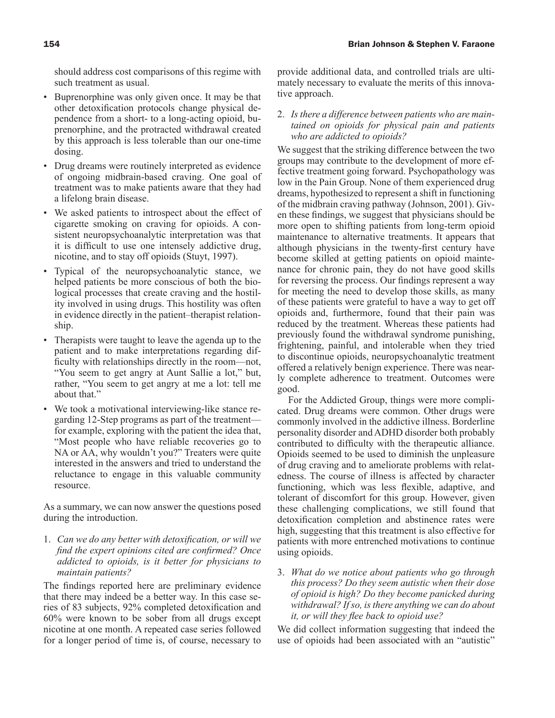should address cost comparisons of this regime with such treatment as usual.

- Buprenorphine was only given once. It may be that other detoxification protocols change physical dependence from a short- to a long-acting opioid, buprenorphine, and the protracted withdrawal created by this approach is less tolerable than our one-time dosing.
- Drug dreams were routinely interpreted as evidence of ongoing midbrain-based craving. One goal of treatment was to make patients aware that they had a lifelong brain disease.
- We asked patients to introspect about the effect of cigarette smoking on craving for opioids. A consistent neuropsychoanalytic interpretation was that it is difficult to use one intensely addictive drug, nicotine, and to stay off opioids (Stuyt, 1997).
- Typical of the neuropsychoanalytic stance, we helped patients be more conscious of both the biological processes that create craving and the hostility involved in using drugs. This hostility was often in evidence directly in the patient–therapist relationship.
- Therapists were taught to leave the agenda up to the patient and to make interpretations regarding difficulty with relationships directly in the room—not, "You seem to get angry at Aunt Sallie a lot," but, rather, "You seem to get angry at me a lot: tell me about that."
- We took a motivational interviewing-like stance regarding 12-Step programs as part of the treatment for example, exploring with the patient the idea that, "Most people who have reliable recoveries go to NA or AA, why wouldn't you?" Treaters were quite interested in the answers and tried to understand the reluctance to engage in this valuable community resource.

As a summary, we can now answer the questions posed during the introduction.

1. *Can we do any better with detoxification, or will we find the expert opinions cited are confirmed? Once addicted to opioids, is it better for physicians to maintain patients?*

The findings reported here are preliminary evidence that there may indeed be a better way. In this case series of 83 subjects, 92% completed detoxification and 60% were known to be sober from all drugs except nicotine at one month. A repeated case series followed for a longer period of time is, of course, necessary to

provide additional data, and controlled trials are ultimately necessary to evaluate the merits of this innovative approach.

## 2. *Is there a difference between patients who are maintained on opioids for physical pain and patients who are addicted to opioids?*

We suggest that the striking difference between the two groups may contribute to the development of more effective treatment going forward. Psychopathology was low in the Pain Group. None of them experienced drug dreams, hypothesized to represent a shift in functioning of the midbrain craving pathway (Johnson, 2001). Given these findings, we suggest that physicians should be more open to shifting patients from long-term opioid maintenance to alternative treatments. It appears that although physicians in the twenty-first century have become skilled at getting patients on opioid maintenance for chronic pain, they do not have good skills for reversing the process. Our findings represent a way for meeting the need to develop those skills, as many of these patients were grateful to have a way to get off opioids and, furthermore, found that their pain was reduced by the treatment. Whereas these patients had previously found the withdrawal syndrome punishing, frightening, painful, and intolerable when they tried to discontinue opioids, neuropsychoanalytic treatment offered a relatively benign experience. There was nearly complete adherence to treatment. Outcomes were good.

For the Addicted Group, things were more complicated. Drug dreams were common. Other drugs were commonly involved in the addictive illness. Borderline personality disorder and ADHD disorder both probably contributed to difficulty with the therapeutic alliance. Opioids seemed to be used to diminish the unpleasure of drug craving and to ameliorate problems with relatedness. The course of illness is affected by character functioning, which was less flexible, adaptive, and tolerant of discomfort for this group. However, given these challenging complications, we still found that detoxification completion and abstinence rates were high, suggesting that this treatment is also effective for patients with more entrenched motivations to continue using opioids.

3. *What do we notice about patients who go through this process? Do they seem autistic when their dose of opioid is high? Do they become panicked during withdrawal? If so, is there anything we can do about it, or will they flee back to opioid use?*

We did collect information suggesting that indeed the use of opioids had been associated with an "autistic"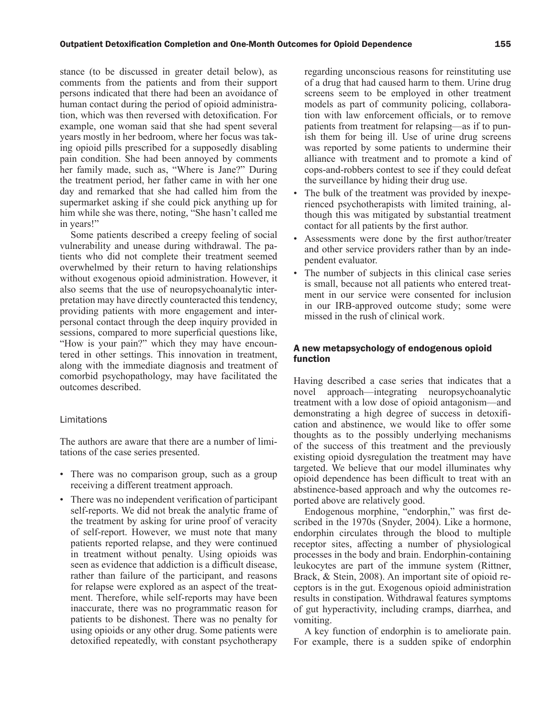stance (to be discussed in greater detail below), as comments from the patients and from their support persons indicated that there had been an avoidance of human contact during the period of opioid administration, which was then reversed with detoxification. For example, one woman said that she had spent several years mostly in her bedroom, where her focus was taking opioid pills prescribed for a supposedly disabling pain condition. She had been annoyed by comments her family made, such as, "Where is Jane?" During the treatment period, her father came in with her one day and remarked that she had called him from the supermarket asking if she could pick anything up for him while she was there, noting, "She hasn't called me in years!"

Some patients described a creepy feeling of social vulnerability and unease during withdrawal. The patients who did not complete their treatment seemed overwhelmed by their return to having relationships without exogenous opioid administration. However, it also seems that the use of neuropsychoanalytic interpretation may have directly counteracted this tendency, providing patients with more engagement and interpersonal contact through the deep inquiry provided in sessions, compared to more superficial questions like, "How is your pain?" which they may have encountered in other settings. This innovation in treatment, along with the immediate diagnosis and treatment of comorbid psychopathology, may have facilitated the outcomes described.

## Limitations

The authors are aware that there are a number of limitations of the case series presented.

- There was no comparison group, such as a group receiving a different treatment approach.
- There was no independent verification of participant self-reports. We did not break the analytic frame of the treatment by asking for urine proof of veracity of self-report. However, we must note that many patients reported relapse, and they were continued in treatment without penalty. Using opioids was seen as evidence that addiction is a difficult disease, rather than failure of the participant, and reasons for relapse were explored as an aspect of the treatment. Therefore, while self-reports may have been inaccurate, there was no programmatic reason for patients to be dishonest. There was no penalty for using opioids or any other drug. Some patients were detoxified repeatedly, with constant psychotherapy

regarding unconscious reasons for reinstituting use of a drug that had caused harm to them. Urine drug screens seem to be employed in other treatment models as part of community policing, collaboration with law enforcement officials, or to remove patients from treatment for relapsing—as if to punish them for being ill. Use of urine drug screens was reported by some patients to undermine their alliance with treatment and to promote a kind of cops-and-robbers contest to see if they could defeat the surveillance by hiding their drug use.

- The bulk of the treatment was provided by inexperienced psychotherapists with limited training, although this was mitigated by substantial treatment contact for all patients by the first author.
- Assessments were done by the first author/treater and other service providers rather than by an independent evaluator.
- The number of subjects in this clinical case series is small, because not all patients who entered treatment in our service were consented for inclusion in our IRB-approved outcome study; some were missed in the rush of clinical work.

## A new metapsychology of endogenous opioid function

Having described a case series that indicates that a novel approach—integrating neuropsychoanalytic treatment with a low dose of opioid antagonism—and demonstrating a high degree of success in detoxification and abstinence, we would like to offer some thoughts as to the possibly underlying mechanisms of the success of this treatment and the previously existing opioid dysregulation the treatment may have targeted. We believe that our model illuminates why opioid dependence has been difficult to treat with an abstinence-based approach and why the outcomes reported above are relatively good.

Endogenous morphine, "endorphin," was first described in the 1970s (Snyder, 2004). Like a hormone, endorphin circulates through the blood to multiple receptor sites, affecting a number of physiological processes in the body and brain. Endorphin-containing leukocytes are part of the immune system (Rittner, Brack, & Stein, 2008). An important site of opioid receptors is in the gut. Exogenous opioid administration results in constipation. Withdrawal features symptoms of gut hyperactivity, including cramps, diarrhea, and vomiting.

A key function of endorphin is to ameliorate pain. For example, there is a sudden spike of endorphin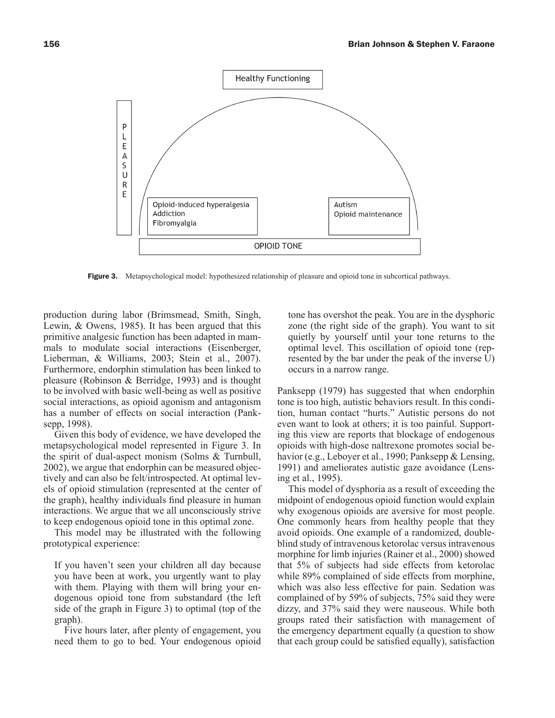

Figure 3. Metapsychological model: hypothesized relationship of pleasure and opioid tone in subcortical pathways.

production during labor (Brimsmead, Smith, Singh, Lewin, & Owens, 1985). It has been argued that this primitive analgesic function has been adapted in mammals to modulate social interactions (Eisenberger, Lieberman, & Williams, 2003; Stein et al., 2007). Furthermore, endorphin stimulation has been linked to pleasure (Robinson & Berridge, 1993) and is thought to be involved with basic well-being as well as positive social interactions, as opioid agonism and antagonism has a number of effects on social interaction (Panksepp, 1998).

Given this body of evidence, we have developed the metapsychological model represented in Figure 3. In the spirit of dual-aspect monism (Solms & Turnbull, 2002), we argue that endorphin can be measured objectively and can also be felt/introspected. At optimal levels of opioid stimulation (represented at the center of the graph), healthy individuals find pleasure in human interactions. We argue that we all unconsciously strive to keep endogenous opioid tone in this optimal zone.

This model may be illustrated with the following prototypical experience:

If you haven't seen your children all day because you have been at work, you urgently want to play with them. Playing with them will bring your endogenous opioid tone from substandard (the left side of the graph in Figure 3) to optimal (top of the graph).

Five hours later, after plenty of engagement, you need them to go to bed. Your endogenous opioid tone has overshot the peak. You are in the dysphoric zone (the right side of the graph). You want to sit quietly by yourself until your tone returns to the optimal level. This oscillation of opioid tone (represented by the bar under the peak of the inverse U) occurs in a narrow range.

Panksepp (1979) has suggested that when endorphin tone is too high, autistic behaviors result. In this condition, human contact "hurts." Autistic persons do not even want to look at others; it is too painful. Supporting this view are reports that blockage of endogenous opioids with high-dose naltrexone promotes social behavior (e.g., Leboyer et al., 1990; Panksepp & Lensing, 1991) and ameliorates autistic gaze avoidance (Lensing et al., 1995).

This model of dysphoria as a result of exceeding the midpoint of endogenous opioid function would explain why exogenous opioids are aversive for most people. One commonly hears from healthy people that they avoid opioids. One example of a randomized, doubleblind study of intravenous ketorolac versus intravenous morphine for limb injuries (Rainer et al., 2000) showed that 5% of subjects had side effects from ketorolac while 89% complained of side effects from morphine, which was also less effective for pain. Sedation was complained of by 59% of subjects, 75% said they were dizzy, and 37% said they were nauseous. While both groups rated their satisfaction with management of the emergency department equally (a question to show that each group could be satisfied equally), satisfaction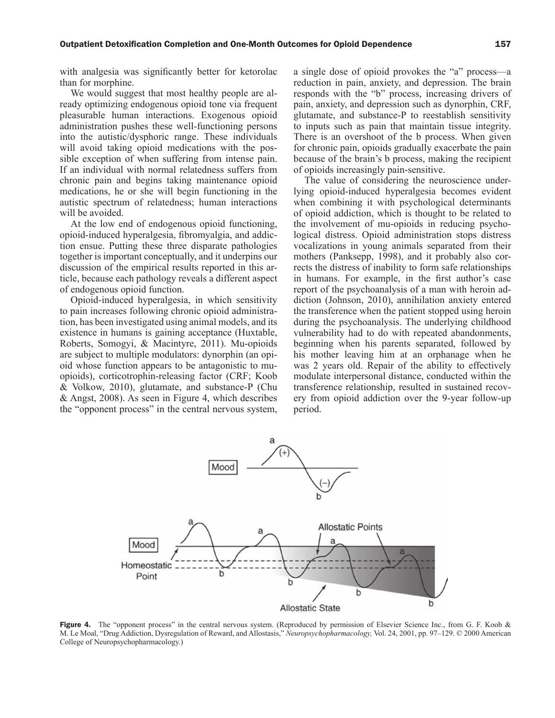with analgesia was significantly better for ketorolac than for morphine.

We would suggest that most healthy people are already optimizing endogenous opioid tone via frequent pleasurable human interactions. Exogenous opioid administration pushes these well-functioning persons into the autistic/dysphoric range. These individuals will avoid taking opioid medications with the possible exception of when suffering from intense pain. If an individual with normal relatedness suffers from chronic pain and begins taking maintenance opioid medications, he or she will begin functioning in the autistic spectrum of relatedness; human interactions will be avoided.

At the low end of endogenous opioid functioning, opioid-induced hyperalgesia, fibromyalgia, and addiction ensue. Putting these three disparate pathologies together is important conceptually, and it underpins our discussion of the empirical results reported in this article, because each pathology reveals a different aspect of endogenous opioid function.

Opioid-induced hyperalgesia, in which sensitivity to pain increases following chronic opioid administration, has been investigated using animal models, and its existence in humans is gaining acceptance (Huxtable, Roberts, Somogyi, & Macintyre, 2011). Mu-opioids are subject to multiple modulators: dynorphin (an opioid whose function appears to be antagonistic to muopioids), corticotrophin-releasing factor (CRF; Koob & Volkow, 2010), glutamate, and substance-P (Chu & Angst, 2008). As seen in Figure 4, which describes the "opponent process" in the central nervous system,

a single dose of opioid provokes the "a" process—a reduction in pain, anxiety, and depression. The brain responds with the "b" process, increasing drivers of pain, anxiety, and depression such as dynorphin, CRF, glutamate, and substance-P to reestablish sensitivity to inputs such as pain that maintain tissue integrity. There is an overshoot of the b process. When given for chronic pain, opioids gradually exacerbate the pain because of the brain's b process, making the recipient of opioids increasingly pain-sensitive.

The value of considering the neuroscience underlying opioid-induced hyperalgesia becomes evident when combining it with psychological determinants of opioid addiction, which is thought to be related to the involvement of mu-opioids in reducing psychological distress. Opioid administration stops distress vocalizations in young animals separated from their mothers (Panksepp, 1998), and it probably also corrects the distress of inability to form safe relationships in humans. For example, in the first author's case report of the psychoanalysis of a man with heroin addiction (Johnson, 2010), annihilation anxiety entered the transference when the patient stopped using heroin during the psychoanalysis. The underlying childhood vulnerability had to do with repeated abandonments, beginning when his parents separated, followed by his mother leaving him at an orphanage when he was 2 years old. Repair of the ability to effectively modulate interpersonal distance, conducted within the transference relationship, resulted in sustained recovery from opioid addiction over the 9-year follow-up period.



Figure 4. The "opponent process" in the central nervous system. (Reproduced by permission of Elsevier Science Inc., from G. F. Koob & M. Le Moal, "Drug Addiction, Dysregulation of Reward, and Allostasis," *Neuropsychopharmacology,* Vol. 24, 2001, pp. 97–129. © 2000 American College of Neuropsychopharmacology.)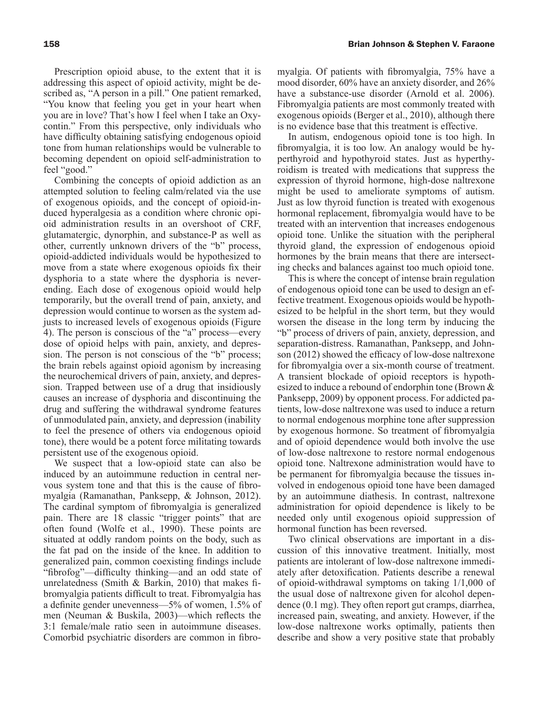Prescription opioid abuse, to the extent that it is addressing this aspect of opioid activity, might be described as, "A person in a pill." One patient remarked, "You know that feeling you get in your heart when you are in love? That's how I feel when I take an Oxycontin." From this perspective, only individuals who have difficulty obtaining satisfying endogenous opioid tone from human relationships would be vulnerable to becoming dependent on opioid self-administration to feel "good."

Combining the concepts of opioid addiction as an attempted solution to feeling calm/related via the use of exogenous opioids, and the concept of opioid-induced hyperalgesia as a condition where chronic opioid administration results in an overshoot of CRF, glutamatergic, dynorphin, and substance-P as well as other, currently unknown drivers of the "b" process, opioid-addicted individuals would be hypothesized to move from a state where exogenous opioids fix their dysphoria to a state where the dysphoria is neverending. Each dose of exogenous opioid would help temporarily, but the overall trend of pain, anxiety, and depression would continue to worsen as the system adjusts to increased levels of exogenous opioids (Figure 4). The person is conscious of the "a" process—every dose of opioid helps with pain, anxiety, and depression. The person is not conscious of the "b" process; the brain rebels against opioid agonism by increasing the neurochemical drivers of pain, anxiety, and depression. Trapped between use of a drug that insidiously causes an increase of dysphoria and discontinuing the drug and suffering the withdrawal syndrome features of unmodulated pain, anxiety, and depression (inability to feel the presence of others via endogenous opioid tone), there would be a potent force militating towards persistent use of the exogenous opioid.

We suspect that a low-opioid state can also be induced by an autoimmune reduction in central nervous system tone and that this is the cause of fibromyalgia (Ramanathan, Panksepp, & Johnson, 2012). The cardinal symptom of fibromyalgia is generalized pain. There are 18 classic "trigger points" that are often found (Wolfe et al., 1990). These points are situated at oddly random points on the body, such as the fat pad on the inside of the knee. In addition to generalized pain, common coexisting findings include "fibrofog"—difficulty thinking—and an odd state of unrelatedness (Smith & Barkin, 2010) that makes fibromyalgia patients difficult to treat. Fibromyalgia has a definite gender unevenness—5% of women, 1.5% of men (Neuman & Buskila, 2003)—which reflects the 3:1 female/male ratio seen in autoimmune diseases. Comorbid psychiatric disorders are common in fibromyalgia. Of patients with fibromyalgia, 75% have a mood disorder, 60% have an anxiety disorder, and 26% have a substance-use disorder (Arnold et al. 2006). Fibromyalgia patients are most commonly treated with exogenous opioids (Berger et al., 2010), although there is no evidence base that this treatment is effective.

In autism, endogenous opioid tone is too high. In fibromyalgia, it is too low. An analogy would be hyperthyroid and hypothyroid states. Just as hyperthyroidism is treated with medications that suppress the expression of thyroid hormone, high-dose naltrexone might be used to ameliorate symptoms of autism. Just as low thyroid function is treated with exogenous hormonal replacement, fibromyalgia would have to be treated with an intervention that increases endogenous opioid tone. Unlike the situation with the peripheral thyroid gland, the expression of endogenous opioid hormones by the brain means that there are intersecting checks and balances against too much opioid tone.

This is where the concept of intense brain regulation of endogenous opioid tone can be used to design an effective treatment. Exogenous opioids would be hypothesized to be helpful in the short term, but they would worsen the disease in the long term by inducing the "b" process of drivers of pain, anxiety, depression, and separation-distress. Ramanathan, Panksepp, and Johnson (2012) showed the efficacy of low-dose naltrexone for fibromyalgia over a six-month course of treatment. A transient blockade of opioid receptors is hypothesized to induce a rebound of endorphin tone (Brown & Panksepp, 2009) by opponent process. For addicted patients, low-dose naltrexone was used to induce a return to normal endogenous morphine tone after suppression by exogenous hormone. So treatment of fibromyalgia and of opioid dependence would both involve the use of low-dose naltrexone to restore normal endogenous opioid tone. Naltrexone administration would have to be permanent for fibromyalgia because the tissues involved in endogenous opioid tone have been damaged by an autoimmune diathesis. In contrast, naltrexone administration for opioid dependence is likely to be needed only until exogenous opioid suppression of hormonal function has been reversed.

Two clinical observations are important in a discussion of this innovative treatment. Initially, most patients are intolerant of low-dose naltrexone immediately after detoxification. Patients describe a renewal of opioid-withdrawal symptoms on taking 1/1,000 of the usual dose of naltrexone given for alcohol dependence (0.1 mg). They often report gut cramps, diarrhea, increased pain, sweating, and anxiety. However, if the low-dose naltrexone works optimally, patients then describe and show a very positive state that probably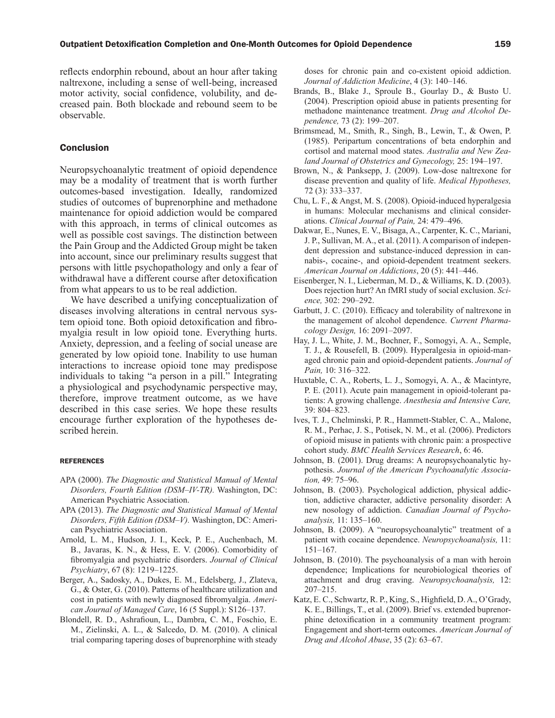reflects endorphin rebound, about an hour after taking naltrexone, including a sense of well-being, increased motor activity, social confidence, volubility, and decreased pain. Both blockade and rebound seem to be observable.

#### **Conclusion**

Neuropsychoanalytic treatment of opioid dependence may be a modality of treatment that is worth further outcomes-based investigation. Ideally, randomized studies of outcomes of buprenorphine and methadone maintenance for opioid addiction would be compared with this approach, in terms of clinical outcomes as well as possible cost savings. The distinction between the Pain Group and the Addicted Group might be taken into account, since our preliminary results suggest that persons with little psychopathology and only a fear of withdrawal have a different course after detoxification from what appears to us to be real addiction.

We have described a unifying conceptualization of diseases involving alterations in central nervous system opioid tone. Both opioid detoxification and fibromyalgia result in low opioid tone. Everything hurts. Anxiety, depression, and a feeling of social unease are generated by low opioid tone. Inability to use human interactions to increase opioid tone may predispose individuals to taking "a person in a pill." Integrating a physiological and psychodynamic perspective may, therefore, improve treatment outcome, as we have described in this case series. We hope these results encourage further exploration of the hypotheses described herein.

#### REFERENCES

- APA (2000). *The Diagnostic and Statistical Manual of Mental Disorders, Fourth Edition (DSM–IV-TR).* Washington, DC: American Psychiatric Association.
- APA (2013). *The Diagnostic and Statistical Manual of Mental Disorders, Fifth Edition (DSM–V).* Washington, DC: American Psychiatric Association.
- Arnold, L. M., Hudson, J. I., Keck, P. E., Auchenbach, M. B., Javaras, K. N., & Hess, E. V. (2006). Comorbidity of fibromyalgia and psychiatric disorders. *Journal of Clinical Psychiatry*, 67 (8): 1219–1225.
- Berger, A., Sadosky, A., Dukes, E. M., Edelsberg, J., Zlateva, G., & Oster, G. (2010). Patterns of healthcare utilization and cost in patients with newly diagnosed fibromyalgia. *American Journal of Managed Care*, 16 (5 Suppl.): S126–137.
- Blondell, R. D., Ashrafioun, L., Dambra, C. M., Foschio, E. M., Zielinski, A. L., & Salcedo, D. M. (2010). A clinical trial comparing tapering doses of buprenorphine with steady

doses for chronic pain and co-existent opioid addiction. *Journal of Addiction Medicine*, 4 (3): 140–146.

- Brands, B., Blake J., Sproule B., Gourlay D., & Busto U. (2004). Prescription opioid abuse in patients presenting for methadone maintenance treatment. *Drug and Alcohol Dependence,* 73 (2): 199–207.
- Brimsmead, M., Smith, R., Singh, B., Lewin, T., & Owen, P. (1985). Peripartum concentrations of beta endorphin and cortisol and maternal mood states. *Australia and New Zealand Journal of Obstetrics and Gynecology,* 25: 194–197.
- Brown, N., & Panksepp, J. (2009). Low-dose naltrexone for disease prevention and quality of life. *Medical Hypotheses,*  72 (3): 333–337.
- Chu, L. F., & Angst, M. S. (2008). Opioid-induced hyperalgesia in humans: Molecular mechanisms and clinical considerations. *Clinical Journal of Pain,* 24: 479–496.
- Dakwar, E., Nunes, E. V., Bisaga, A., Carpenter, K. C., Mariani, J. P., Sullivan, M. A., et al. (2011). A comparison of independent depression and substance-induced depression in cannabis-, cocaine-, and opioid-dependent treatment seekers. *American Journal on Addictions*, 20 (5): 441–446.
- Eisenberger, N. I., Lieberman, M. D., & Williams, K. D. (2003). Does rejection hurt? An fMRI study of social exclusion. *Science,* 302: 290–292.
- Garbutt, J. C. (2010). Efficacy and tolerability of naltrexone in the management of alcohol dependence. *Current Pharmacology Design,* 16: 2091–2097.
- Hay, J. L., White, J. M., Bochner, F., Somogyi, A. A., Semple, T. J., & Rousefell, B. (2009). Hyperalgesia in opioid-managed chronic pain and opioid-dependent patients. *Journal of Pain,* 10: 316–322.
- Huxtable, C. A., Roberts, L. J., Somogyi, A. A., & Macintyre, P. E. (2011). Acute pain management in opioid-tolerant patients: A growing challenge. *Anesthesia and Intensive Care,*  39: 804–823.
- Ives, T. J., Chelminski, P. R., Hammett-Stabler, C. A., Malone, R. M., Perhac, J. S., Potisek, N. M., et al. (2006). Predictors of opioid misuse in patients with chronic pain: a prospective cohort study. *BMC Health Services Research*, 6: 46.
- Johnson, B. (2001). Drug dreams: A neuropsychoanalytic hypothesis. *Journal of the American Psychoanalytic Association,* 49: 75–96.
- Johnson, B. (2003). Psychological addiction, physical addiction, addictive character, addictive personality disorder: A new nosology of addiction. *Canadian Journal of Psychoanalysis,* 11: 135–160.
- Johnson, B. (2009). A "neuropsychoanalytic" treatment of a patient with cocaine dependence. *Neuropsychoanalysis,* 11: 151–167.
- Johnson, B. (2010). The psychoanalysis of a man with heroin dependence; Implications for neurobiological theories of attachment and drug craving. *Neuropsychoanalysis,* 12: 207–215.
- Katz, E. C., Schwartz, R. P., King, S., Highfield, D.A., O'Grady, K. E., Billings, T., et al. (2009). Brief vs. extended buprenorphine detoxification in a community treatment program: Engagement and short-term outcomes. *American Journal of Drug and Alcohol Abuse*, 35 (2): 63–67.